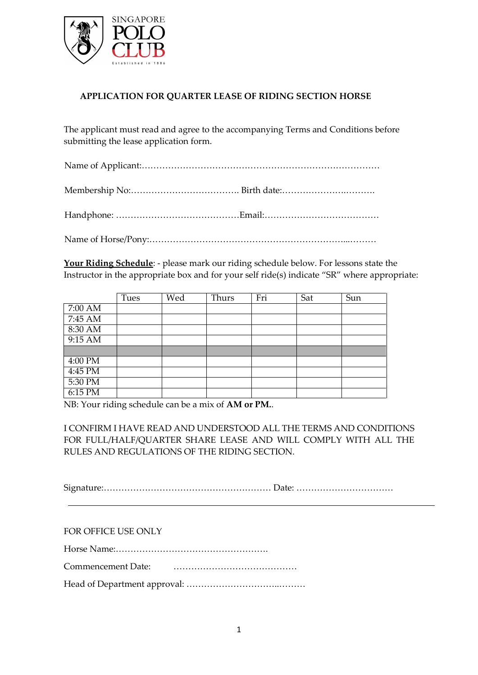

## **APPLICATION FOR QUARTER LEASE OF RIDING SECTION HORSE**

The applicant must read and agree to the accompanying Terms and Conditions before submitting the lease application form.

Name of Applicant:………………………………………………………………………

Membership No:………………………………. Birth date:………………….……….

Handphone: ……………………………………Email:…………………………………

Name of Horse/Pony:…………………………………………………………...………

**Your Riding Schedule**: - please mark our riding schedule below. For lessons state the Instructor in the appropriate box and for your self ride(s) indicate "SR" where appropriate:

|           | Tues | Wed | Thurs | Fri | Sat | Sun |
|-----------|------|-----|-------|-----|-----|-----|
| $7:00$ AM |      |     |       |     |     |     |
| $7:45$ AM |      |     |       |     |     |     |
| 8:30 AM   |      |     |       |     |     |     |
| $9:15$ AM |      |     |       |     |     |     |
|           |      |     |       |     |     |     |
| 4:00 PM   |      |     |       |     |     |     |
| 4:45 PM   |      |     |       |     |     |     |
| 5:30 PM   |      |     |       |     |     |     |
| $6:15$ PM |      |     |       |     |     |     |

NB: Your riding schedule can be a mix of **AM or PM.**.

I CONFIRM I HAVE READ AND UNDERSTOOD ALL THE TERMS AND CONDITIONS FOR FULL/HALF/QUARTER SHARE LEASE AND WILL COMPLY WITH ALL THE RULES AND REGULATIONS OF THE RIDING SECTION.

Signature:………………………………………………… Date: ……………………………

FOR OFFICE USE ONLY

Horse Name:…………………………………………….

Commencement Date: ……………………………………

Head of Department approval: …………………………..………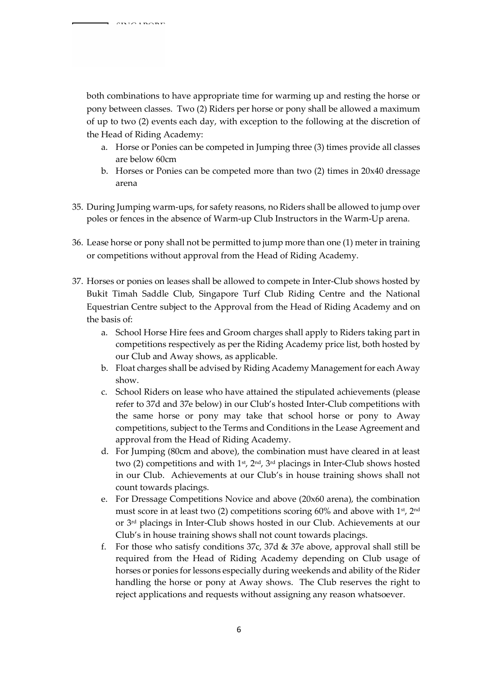both combinations to have appropriate time for warming up and resting the horse or pony between classes. Two (2) Riders per horse or pony shall be allowed a maximum of up to two (2) events each day, with exception to the following at the discretion of the Head of Riding Academy:

- a. Horse or Ponies can be competed in Jumping three (3) times provide all classes are below 60cm
- b. Horses or Ponies can be competed more than two (2) times in 20x40 dressage arena
- 35. During Jumping warm-ups, for safety reasons, no Riders shall be allowed to jump over poles or fences in the absence of Warm-up Club Instructors in the Warm-Up arena.
- 36. Lease horse or pony shall not be permitted to jump more than one (1) meter in training or competitions without approval from the Head of Riding Academy.
- 37. Horses or ponies on leases shall be allowed to compete in Inter-Club shows hosted by Bukit Timah Saddle Club, Singapore Turf Club Riding Centre and the National Equestrian Centre subject to the Approval from the Head of Riding Academy and on the basis of:
	- a. School Horse Hire fees and Groom charges shall apply to Riders taking part in competitions respectively as per the Riding Academy price list, both hosted by our Club and Away shows, as applicable.
	- b. Float charges shall be advised by Riding Academy Management for each Away show.
	- c. School Riders on lease who have attained the stipulated achievements (please refer to 37d and 37e below) in our Club's hosted Inter-Club competitions with the same horse or pony may take that school horse or pony to Away competitions, subject to the Terms and Conditions in the Lease Agreement and approval from the Head of Riding Academy.
	- d. For Jumping (80cm and above), the combination must have cleared in at least two (2) competitions and with 1<sup>st</sup>, 2<sup>nd</sup>, 3<sup>rd</sup> placings in Inter-Club shows hosted in our Club. Achievements at our Club's in house training shows shall not count towards placings.
	- e. For Dressage Competitions Novice and above (20x60 arena), the combination must score in at least two (2) competitions scoring 60% and above with 1st , 2nd or 3rd placings in Inter-Club shows hosted in our Club. Achievements at our Club's in house training shows shall not count towards placings.
	- f. For those who satisfy conditions 37c, 37d & 37e above, approval shall still be required from the Head of Riding Academy depending on Club usage of horses or ponies for lessons especially during weekends and ability of the Rider handling the horse or pony at Away shows. The Club reserves the right to reject applications and requests without assigning any reason whatsoever.